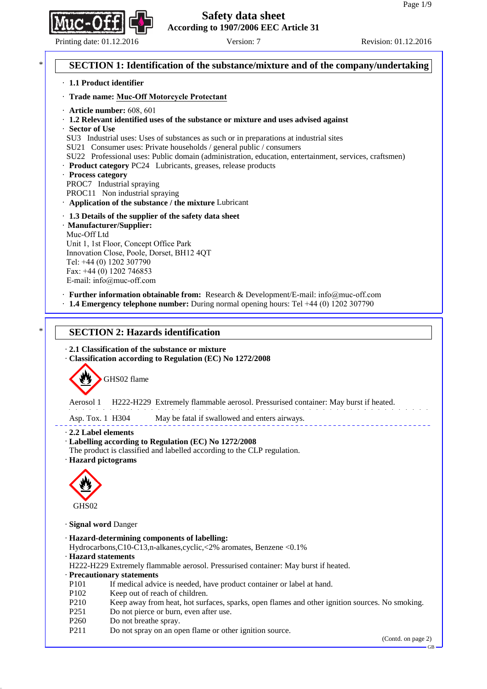Printing date: 01.12.2016 Version: 7 Version: 7 Revision: 01.12.2016

# **SECTION 1: Identification of the substance/mixture and of the company/undertaking** · **1.1 Product identifier** · **Trade name: Muc-Off Motorcycle Protectant** · **Article number:** 608, 601 · **1.2 Relevant identified uses of the substance or mixture and uses advised against** · **Sector of Use** SU3 Industrial uses: Uses of substances as such or in preparations at industrial sites SU21 Consumer uses: Private households / general public / consumers SU22 Professional uses: Public domain (administration, education, entertainment, services, craftsmen) · **Product category** PC24 Lubricants, greases, release products · **Process category** PROC7 Industrial spraying PROC11 Non industrial spraying · **Application of the substance / the mixture** Lubricant · **1.3 Details of the supplier of the safety data sheet** · **Manufacturer/Supplier:** Muc-Off Ltd Unit 1, 1st Floor, Concept Office Park Innovation Close, Poole, Dorset, BH12 4QT Tel: +44 (0) 1202 307790 Fax: +44 (0) 1202 746853 E-mail: info@muc-off.com · **Further information obtainable from:** Research & Development/E-mail: info@muc-off.com · **1.4 Emergency telephone number:** During normal opening hours: Tel +44 (0) 1202 307790 **SECTION 2: Hazards identification** · **2.1 Classification of the substance or mixture** · **Classification according to Regulation (EC) No 1272/2008** GHS02 flame Aerosol 1 H222-H229 Extremely flammable aerosol. Pressurised container: May burst if heated. Asp. Tox. 1 H304 May be fatal if swallowed and enters airways. · **2.2 Label elements** · **Labelling according to Regulation (EC) No 1272/2008** The product is classified and labelled according to the CLP regulation. · **Hazard pictograms** GHS<sub>02</sub> · **Signal word** Danger · **Hazard-determining components of labelling:** Hydrocarbons,C10-C13,n-alkanes,cyclic,<2% aromates, Benzene <0.1% · **Hazard statements** H222-H229 Extremely flammable aerosol. Pressurised container: May burst if heated. · **Precautionary statements** P101 If medical advice is needed, have product container or label at hand. P102 Keep out of reach of children. P210 Keep away from heat, hot surfaces, sparks, open flames and other ignition sources. No smoking. P251 Do not pierce or burn, even after use. P<sub>260</sub> Do not breathe spray. P211 Do not spray on an open flame or other ignition source. (Contd. on page 2)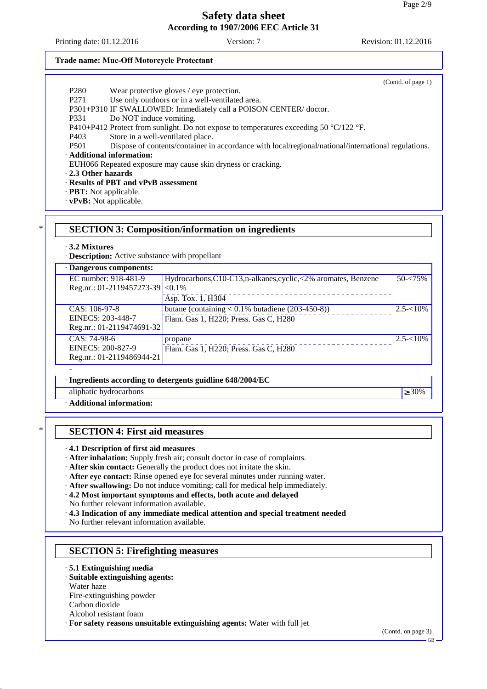Printing date: 01.12.2016 Version: 7 Version: 7 Revision: 01.12.2016

#### **Trade name: Muc-Off Motorcycle Protectant**

- P280 Wear protective gloves / eye protection.
- P271 Use only outdoors or in a well-ventilated area.

P301+P310 IF SWALLOWED: Immediately call a POISON CENTER/ doctor.

- P331 Do NOT induce vomiting.
- P410+P412 Protect from sunlight. Do not expose to temperatures exceeding 50 °C/122 °F.
- P403 Store in a well-ventilated place.

P501 Dispose of contents/container in accordance with local/regional/national/international regulations.

· **Additional information:**

EUH066 Repeated exposure may cause skin dryness or cracking.

· **2.3 Other hazards**

### · **Results of PBT and vPvB assessment**

- · **PBT:** Not applicable.
- · **vPvB:** Not applicable.

### \* **SECTION 3: Composition/information on ingredients**

#### · **3.2 Mixtures**

· **Description:** Active substance with propellant

| · Dangerous components:   |                                                                 |              |
|---------------------------|-----------------------------------------------------------------|--------------|
| EC number: 918-481-9      | Hydrocarbons, C10-C13, n-alkanes, cyclic, <2% aromates, Benzene | $50 - 75%$   |
| Reg.nr.: 01-2119457273-39 | $< 0.1\%$                                                       |              |
|                           | Asp. Tox. 1, H304                                               |              |
| $CAS: 106-97-8$           | butane (containing $< 0.1\%$ butadiene (203-450-8))             | $2.5 - 10\%$ |
| EINECS: 203-448-7         | Flam. Gas 1, H220; Press. Gas C, H280                           |              |
| Reg.nr.: 01-2119474691-32 |                                                                 |              |
| CAS: 74-98-6              | propane                                                         | $2.5 - 10\%$ |
| EINECS: 200-827-9         | Flam. Gas 1, H220; Press. Gas C, H280                           |              |
| Reg.nr.: 01-2119486944-21 |                                                                 |              |
|                           |                                                                 |              |

#### · **Ingredients according to detergents guidline 648/2004/EC**

aliphatic hydrocarbons  $\geq 30\%$ 

· **Additional information:**

### \* **SECTION 4: First aid measures**

· **4.1 Description of first aid measures**

- · **After inhalation:** Supply fresh air; consult doctor in case of complaints.
- · **After skin contact:** Generally the product does not irritate the skin.
- · **After eye contact:** Rinse opened eye for several minutes under running water.
- · **After swallowing:** Do not induce vomiting; call for medical help immediately.
- · **4.2 Most important symptoms and effects, both acute and delayed**
- No further relevant information available.
- · **4.3 Indication of any immediate medical attention and special treatment needed**

No further relevant information available.

### **SECTION 5: Firefighting measures**

#### · **5.1 Extinguishing media**

### · **Suitable extinguishing agents:**

Water haze

Fire-extinguishing powder

- Carbon dioxide
- Alcohol resistant foam

· **For safety reasons unsuitable extinguishing agents:** Water with full jet

(Contd. of page 1)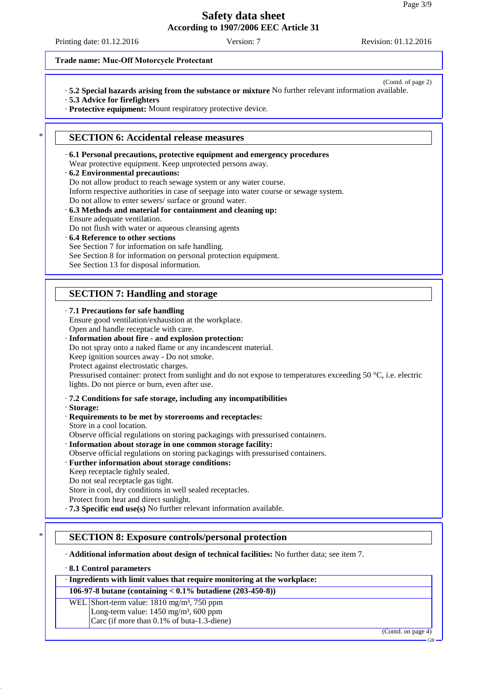Printing date: 01.12.2016 Version: 7 Version: 7 Revision: 01.12.2016

#### **Trade name: Muc-Off Motorcycle Protectant**

- (Contd. of page 2) · **5.2 Special hazards arising from the substance or mixture** No further relevant information available.
- · **5.3 Advice for firefighters**
- · **Protective equipment:** Mount respiratory protective device.

### **SECTION 6: Accidental release measures**

- · **6.1 Personal precautions, protective equipment and emergency procedures** Wear protective equipment. Keep unprotected persons away.
- · **6.2 Environmental precautions:** Do not allow product to reach sewage system or any water course. Inform respective authorities in case of seepage into water course or sewage system. Do not allow to enter sewers/ surface or ground water.
- · **6.3 Methods and material for containment and cleaning up:** Ensure adequate ventilation.
- Do not flush with water or aqueous cleansing agents
- · **6.4 Reference to other sections**
- See Section 7 for information on safe handling.
- See Section 8 for information on personal protection equipment.
- See Section 13 for disposal information.

### **SECTION 7: Handling and storage**

### · **7.1 Precautions for safe handling**

Ensure good ventilation/exhaustion at the workplace. Open and handle receptacle with care.

#### · **Information about fire - and explosion protection:**

Do not spray onto a naked flame or any incandescent material.

Keep ignition sources away - Do not smoke.

Protect against electrostatic charges.

Pressurised container: protect from sunlight and do not expose to temperatures exceeding 50 °C, i.e. electric lights. Do not pierce or burn, even after use.

#### · **7.2 Conditions for safe storage, including any incompatibilities**

#### · **Storage:**

· **Requirements to be met by storerooms and receptacles:** Store in a cool location.

Observe official regulations on storing packagings with pressurised containers.

· **Information about storage in one common storage facility:**

Observe official regulations on storing packagings with pressurised containers.

#### · **Further information about storage conditions:**

Keep receptacle tightly sealed.

Do not seal receptacle gas tight.

Store in cool, dry conditions in well sealed receptacles.

Protect from heat and direct sunlight.

· **7.3 Specific end use(s)** No further relevant information available.

### \* **SECTION 8: Exposure controls/personal protection**

· **Additional information about design of technical facilities:** No further data; see item 7.

#### · **8.1 Control parameters**

## · **Ingredients with limit values that require monitoring at the workplace:**

### **106-97-8 butane (containing < 0.1% butadiene (203-450-8))**

WEL Short-term value: 1810 mg/m<sup>3</sup>, 750 ppm Long-term value:  $1450$  mg/m<sup>3</sup>, 600 ppm Carc (if more than 0.1% of buta-1.3-diene)

(Contd. on page 4)

GB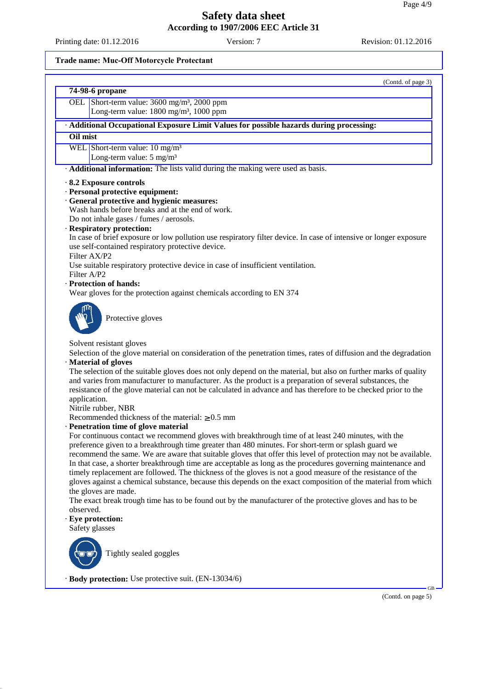Printing date: 01.12.2016 Version: 7 Version: 7 Revision: 01.12.2016

(Contd. of page 3)

### **Trade name: Muc-Off Motorcycle Protectant**

| 74-98-6 propane                                         |
|---------------------------------------------------------|
| OEL Short-term value: 3600 mg/m <sup>3</sup> , 2000 ppm |
| Long-term value: 1800 mg/m <sup>3</sup> , 1000 ppm      |

· **Additional Occupational Exposure Limit Values for possible hazards during processing:**

### **Oil mist**

WEL Short-term value: 10 mg/m<sup>3</sup>

Long-term value: 5 mg/m<sup>3</sup>

· **Additional information:** The lists valid during the making were used as basis.

### · **8.2 Exposure controls**

· **Personal protective equipment:**

### · **General protective and hygienic measures:**

Wash hands before breaks and at the end of work.

Do not inhale gases / fumes / aerosols.

### · **Respiratory protection:**

In case of brief exposure or low pollution use respiratory filter device. In case of intensive or longer exposure use self-contained respiratory protective device.

# Filter AX/P2

Use suitable respiratory protective device in case of insufficient ventilation.

# Filter A/P2

· **Protection of hands:**

Wear gloves for the protection against chemicals according to EN 374



Protective gloves

### Solvent resistant gloves

Selection of the glove material on consideration of the penetration times, rates of diffusion and the degradation · **Material of gloves**

The selection of the suitable gloves does not only depend on the material, but also on further marks of quality and varies from manufacturer to manufacturer. As the product is a preparation of several substances, the resistance of the glove material can not be calculated in advance and has therefore to be checked prior to the application.

Nitrile rubber, NBR

Recommended thickness of the material:  $\geq 0.5$  mm

### · **Penetration time of glove material**

For continuous contact we recommend gloves with breakthrough time of at least 240 minutes, with the preference given to a breakthrough time greater than 480 minutes. For short-term or splash guard we recommend the same. We are aware that suitable gloves that offer this level of protection may not be available. In that case, a shorter breakthrough time are acceptable as long as the procedures governing maintenance and timely replacement are followed. The thickness of the gloves is not a good measure of the resistance of the gloves against a chemical substance, because this depends on the exact composition of the material from which the gloves are made.

The exact break trough time has to be found out by the manufacturer of the protective gloves and has to be observed.

### · **Eye protection:**

Safety glasses



Tightly sealed goggles

· **Body protection:** Use protective suit. (EN-13034/6)

(Contd. on page 5)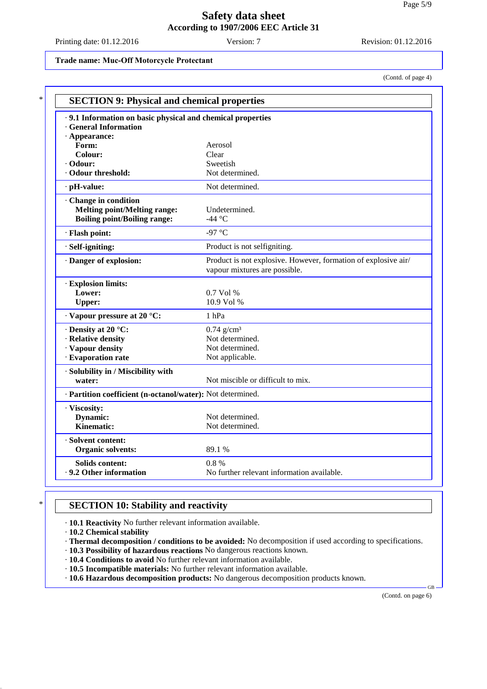Printing date: 01.12.2016 Version: 7 Revision: 01.12.2016

### **Trade name: Muc-Off Motorcycle Protectant**

(Contd. of page 4)

| .9.1 Information on basic physical and chemical properties |                                                                                                 |
|------------------------------------------------------------|-------------------------------------------------------------------------------------------------|
| <b>General Information</b>                                 |                                                                                                 |
| $\cdot$ Appearance:                                        |                                                                                                 |
| Form:                                                      | Aerosol                                                                                         |
| Colour:                                                    | Clear                                                                                           |
| $\cdot$ Odour:                                             | Sweetish                                                                                        |
| · Odour threshold:                                         | Not determined.                                                                                 |
| · pH-value:                                                | Not determined.                                                                                 |
| Change in condition                                        |                                                                                                 |
| <b>Melting point/Melting range:</b>                        | Undetermined.                                                                                   |
| <b>Boiling point/Boiling range:</b>                        | -44 °C                                                                                          |
| · Flash point:                                             | -97 °C                                                                                          |
| · Self-igniting:                                           | Product is not selfigniting.                                                                    |
| Danger of explosion:                                       | Product is not explosive. However, formation of explosive air/<br>vapour mixtures are possible. |
| · Explosion limits:                                        |                                                                                                 |
| Lower:                                                     | 0.7 Vol %                                                                                       |
| <b>Upper:</b>                                              | 10.9 Vol %                                                                                      |
| $\cdot$ Vapour pressure at 20 °C:                          | 1 <sub>hPa</sub>                                                                                |
| Density at 20 °C:                                          | $0.74$ g/cm <sup>3</sup>                                                                        |
| · Relative density                                         | Not determined.                                                                                 |
| · Vapour density                                           | Not determined.                                                                                 |
| · Evaporation rate                                         | Not applicable.                                                                                 |
| · Solubility in / Miscibility with                         |                                                                                                 |
| water:                                                     | Not miscible or difficult to mix.                                                               |
| · Partition coefficient (n-octanol/water): Not determined. |                                                                                                 |
| · Viscosity:                                               |                                                                                                 |
| Dynamic:                                                   | Not determined.                                                                                 |
| <b>Kinematic:</b>                                          | Not determined.                                                                                 |
| · Solvent content:                                         |                                                                                                 |
| <b>Organic solvents:</b>                                   | 89.1%                                                                                           |
| <b>Solids content:</b>                                     | 0.8%                                                                                            |
| .9.2 Other information                                     | No further relevant information available.                                                      |

# **SECTION 10: Stability and reactivity**

· **10.1 Reactivity** No further relevant information available.

· **10.2 Chemical stability**

· **Thermal decomposition / conditions to be avoided:** No decomposition if used according to specifications.

· **10.3 Possibility of hazardous reactions** No dangerous reactions known.

· **10.4 Conditions to avoid** No further relevant information available.

· **10.5 Incompatible materials:** No further relevant information available.

· **10.6 Hazardous decomposition products:** No dangerous decomposition products known.

(Contd. on page 6)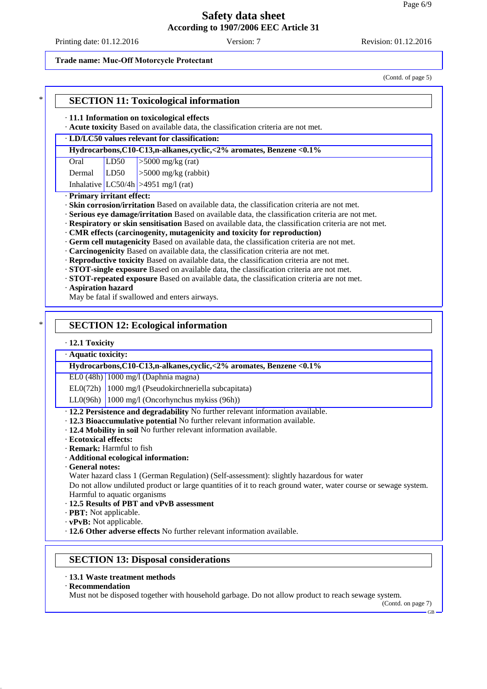### **Trade name: Muc-Off Motorcycle Protectant**

(Contd. of page 5)

|                       |                  | · 11.1 Information on toxicological effects<br>· Acute toxicity Based on available data, the classification criteria are not met.                                                                                                                                                                                                                                                                                                                                                                                                                                                                      |
|-----------------------|------------------|--------------------------------------------------------------------------------------------------------------------------------------------------------------------------------------------------------------------------------------------------------------------------------------------------------------------------------------------------------------------------------------------------------------------------------------------------------------------------------------------------------------------------------------------------------------------------------------------------------|
|                       |                  | · LD/LC50 values relevant for classification:                                                                                                                                                                                                                                                                                                                                                                                                                                                                                                                                                          |
|                       |                  | Hydrocarbons, C10-C13,n-alkanes, cyclic, <2% aromates, Benzene <0.1%                                                                                                                                                                                                                                                                                                                                                                                                                                                                                                                                   |
| Oral                  | LD50             | $>5000$ mg/kg (rat)                                                                                                                                                                                                                                                                                                                                                                                                                                                                                                                                                                                    |
| Dermal                | LD <sub>50</sub> | $>5000$ mg/kg (rabbit)                                                                                                                                                                                                                                                                                                                                                                                                                                                                                                                                                                                 |
|                       |                  | Inhalative $LC50/4h$ >4951 mg/l (rat)                                                                                                                                                                                                                                                                                                                                                                                                                                                                                                                                                                  |
|                       |                  | · Respiratory or skin sensitisation Based on available data, the classification criteria are not met.                                                                                                                                                                                                                                                                                                                                                                                                                                                                                                  |
| · Aspiration hazard   |                  | · CMR effects (carcinogenity, mutagenicity and toxicity for reproduction)<br>· Germ cell mutagenicity Based on available data, the classification criteria are not met.<br>· Carcinogenicity Based on available data, the classification criteria are not met.<br>· Reproductive toxicity Based on available data, the classification criteria are not met.<br>· STOT-single exposure Based on available data, the classification criteria are not met.<br>· STOT-repeated exposure Based on available data, the classification criteria are not met.<br>May be fatal if swallowed and enters airways. |
|                       |                  | <b>SECTION 12: Ecological information</b>                                                                                                                                                                                                                                                                                                                                                                                                                                                                                                                                                              |
| $\cdot$ 12.1 Toxicity |                  |                                                                                                                                                                                                                                                                                                                                                                                                                                                                                                                                                                                                        |
| · Aquatic toxicity:   |                  | Hydrocarbons, C10-C13,n-alkanes, cyclic, <2% aromates, Benzene <0.1%                                                                                                                                                                                                                                                                                                                                                                                                                                                                                                                                   |
|                       |                  | $EL0(48h)$ 1000 mg/l (Daphnia magna)                                                                                                                                                                                                                                                                                                                                                                                                                                                                                                                                                                   |
|                       |                  | $ELO(72h)$ 1000 mg/l (Pseudokirchneriella subcapitata)                                                                                                                                                                                                                                                                                                                                                                                                                                                                                                                                                 |

- · **Ecotoxical effects:**
- · **Remark:** Harmful to fish
- · **Additional ecological information:**
- · **General notes:**

Water hazard class 1 (German Regulation) (Self-assessment): slightly hazardous for water Do not allow undiluted product or large quantities of it to reach ground water, water course or sewage system. Harmful to aquatic organisms

- · **12.5 Results of PBT and vPvB assessment**
- · **PBT:** Not applicable.
- · **vPvB:** Not applicable.
- · **12.6 Other adverse effects** No further relevant information available.

### **SECTION 13: Disposal considerations**

- · **13.1 Waste treatment methods**
- · **Recommendation**

Must not be disposed together with household garbage. Do not allow product to reach sewage system.

(Contd. on page 7)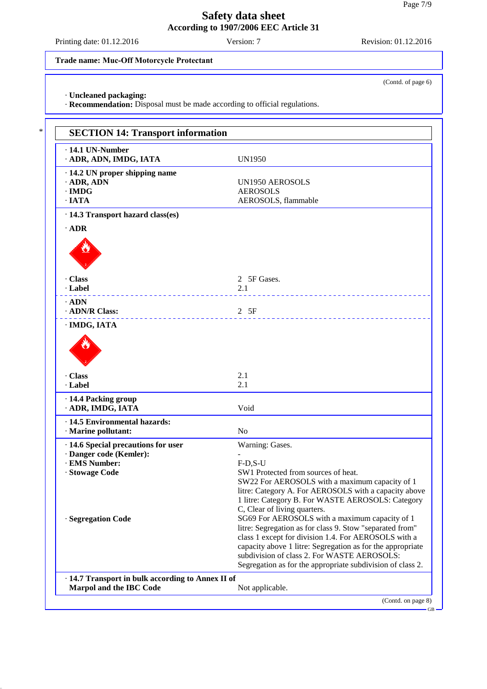Printing date: 01.12.2016 Version: 7 Revision: 01.12.2016

(Contd. of page 6)

### **Trade name: Muc-Off Motorcycle Protectant**

· **Uncleaned packaging:**

· **Recommendation:** Disposal must be made according to official regulations.

| · ADR, ADN, IMDG, IATA                            | <b>UN1950</b>                                                                                                                                                                                                                                                                                                                                                                                                |
|---------------------------------------------------|--------------------------------------------------------------------------------------------------------------------------------------------------------------------------------------------------------------------------------------------------------------------------------------------------------------------------------------------------------------------------------------------------------------|
| · 14.2 UN proper shipping name                    |                                                                                                                                                                                                                                                                                                                                                                                                              |
| $\cdot$ ADR, ADN                                  | <b>UN1950 AEROSOLS</b>                                                                                                                                                                                                                                                                                                                                                                                       |
| $\cdot$ IMDG                                      | <b>AEROSOLS</b>                                                                                                                                                                                                                                                                                                                                                                                              |
| $\cdot$ IATA                                      | AEROSOLS, flammable                                                                                                                                                                                                                                                                                                                                                                                          |
| · 14.3 Transport hazard class(es)                 |                                                                                                                                                                                                                                                                                                                                                                                                              |
| $\cdot$ ADR                                       |                                                                                                                                                                                                                                                                                                                                                                                                              |
|                                                   |                                                                                                                                                                                                                                                                                                                                                                                                              |
| · Class                                           | 2 5F Gases.                                                                                                                                                                                                                                                                                                                                                                                                  |
| · Label                                           | 2.1                                                                                                                                                                                                                                                                                                                                                                                                          |
| $\cdot$ ADN                                       | .                                                                                                                                                                                                                                                                                                                                                                                                            |
| · ADN/R Class:                                    | 2 5F                                                                                                                                                                                                                                                                                                                                                                                                         |
| · IMDG, IATA                                      |                                                                                                                                                                                                                                                                                                                                                                                                              |
| · Class<br>· Label                                | 2.1<br>2.1                                                                                                                                                                                                                                                                                                                                                                                                   |
|                                                   |                                                                                                                                                                                                                                                                                                                                                                                                              |
| · 14.4 Packing group<br>· ADR, IMDG, IATA         | Void                                                                                                                                                                                                                                                                                                                                                                                                         |
| · 14.5 Environmental hazards:                     |                                                                                                                                                                                                                                                                                                                                                                                                              |
| · Marine pollutant:                               | N <sub>o</sub>                                                                                                                                                                                                                                                                                                                                                                                               |
| · 14.6 Special precautions for user               | Warning: Gases.                                                                                                                                                                                                                                                                                                                                                                                              |
| · Danger code (Kemler):                           |                                                                                                                                                                                                                                                                                                                                                                                                              |
| · EMS Number:                                     | $F-D,S-U$                                                                                                                                                                                                                                                                                                                                                                                                    |
| · Stowage Code                                    | SW1 Protected from sources of heat.                                                                                                                                                                                                                                                                                                                                                                          |
|                                                   |                                                                                                                                                                                                                                                                                                                                                                                                              |
|                                                   |                                                                                                                                                                                                                                                                                                                                                                                                              |
|                                                   |                                                                                                                                                                                                                                                                                                                                                                                                              |
|                                                   | C, Clear of living quarters.                                                                                                                                                                                                                                                                                                                                                                                 |
| · Segregation Code                                | SG69 For AEROSOLS with a maximum capacity of 1                                                                                                                                                                                                                                                                                                                                                               |
|                                                   |                                                                                                                                                                                                                                                                                                                                                                                                              |
|                                                   |                                                                                                                                                                                                                                                                                                                                                                                                              |
|                                                   |                                                                                                                                                                                                                                                                                                                                                                                                              |
|                                                   | subdivision of class 2. For WASTE AEROSOLS:                                                                                                                                                                                                                                                                                                                                                                  |
| · 14.7 Transport in bulk according to Annex II of | SW22 For AEROSOLS with a maximum capacity of 1<br>litre: Category A. For AEROSOLS with a capacity above<br>1 litre: Category B. For WASTE AEROSOLS: Category<br>litre: Segregation as for class 9. Stow "separated from"<br>class 1 except for division 1.4. For AEROSOLS with a<br>capacity above 1 litre: Segregation as for the appropriate<br>Segregation as for the appropriate subdivision of class 2. |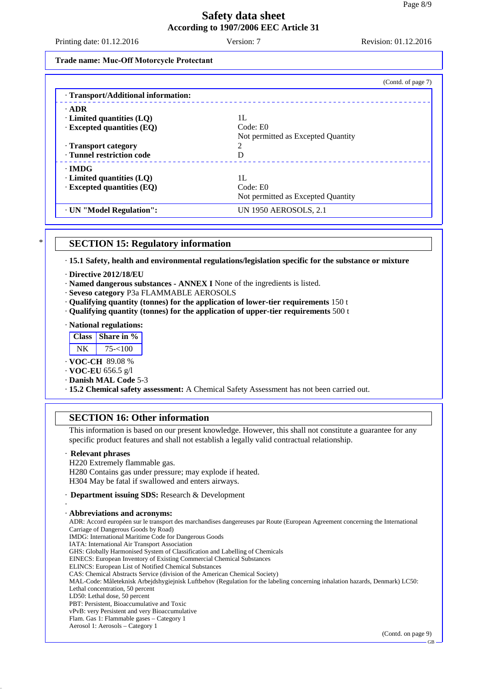Printing date: 01.12.2016 Version: 7 Version: 7 Revision: 01.12.2016

#### **Trade name: Muc-Off Motorcycle Protectant**

|                                     | (Contd. of page 7)                 |
|-------------------------------------|------------------------------------|
| · Transport/Additional information: |                                    |
| $\cdot$ ADR                         |                                    |
| $\cdot$ Limited quantities (LQ)     | 1L                                 |
| $\cdot$ Excepted quantities (EQ)    | Code: E0                           |
|                                     | Not permitted as Excepted Quantity |
| · Transport category                | ∍                                  |
| <b>Tunnel restriction code</b>      | D                                  |
| $\cdot$ IMDG                        |                                    |
| $\cdot$ Limited quantities (LQ)     | 1L                                 |
| $\cdot$ Excepted quantities (EQ)    | Code: E0                           |
|                                     | Not permitted as Excepted Quantity |
| · UN "Model Regulation":            | UN 1950 AEROSOLS, 2.1              |

### **SECTION 15: Regulatory information**

· **15.1 Safety, health and environmental regulations/legislation specific for the substance or mixture**

- · **Directive 2012/18/EU**
- · **Named dangerous substances ANNEX I** None of the ingredients is listed.
- · **Seveso category** P3a FLAMMABLE AEROSOLS
- · **Qualifying quantity (tonnes) for the application of lower-tier requirements** 150 t
- · **Qualifying quantity (tonnes) for the application of upper-tier requirements** 500 t
- · **National regulations:**

| ass   Share in % |
|------------------|
| < । ( )( )       |

| $\cdot$ VOC-CH 89.08 % |  |
|------------------------|--|
|------------------------|--|

· **VOC-EU** 656.5 g/l

· **Danish MAL Code** 5-3

· **15.2 Chemical safety assessment:** A Chemical Safety Assessment has not been carried out.

### **SECTION 16: Other information**

This information is based on our present knowledge. However, this shall not constitute a guarantee for any specific product features and shall not establish a legally valid contractual relationship.

### · **Relevant phrases**

H220 Extremely flammable gas.

H280 Contains gas under pressure; may explode if heated. H304 May be fatal if swallowed and enters airways.

#### · **Department issuing SDS:** Research & Development

#### · · **Abbreviations and acronyms:**

ADR: Accord européen sur le transport des marchandises dangereuses par Route (European Agreement concerning the International Carriage of Dangerous Goods by Road) IMDG: International Maritime Code for Dangerous Goods IATA: International Air Transport Association GHS: Globally Harmonised System of Classification and Labelling of Chemicals EINECS: European Inventory of Existing Commercial Chemical Substances ELINCS: European List of Notified Chemical Substances

CAS: Chemical Abstracts Service (division of the American Chemical Society)

MAL-Code: Måleteknisk Arbejdshygiejnisk Luftbehov (Regulation for the labeling concerning inhalation hazards, Denmark) LC50: Lethal concentration, 50 percent

- LD50: Lethal dose, 50 percent
- PBT: Persistent, Bioaccumulative and Toxic

vPvB: very Persistent and very Bioaccumulative

Flam. Gas 1: Flammable gases – Category 1 Aerosol 1: Aerosols – Category 1

(Contd. on page 9)

GB